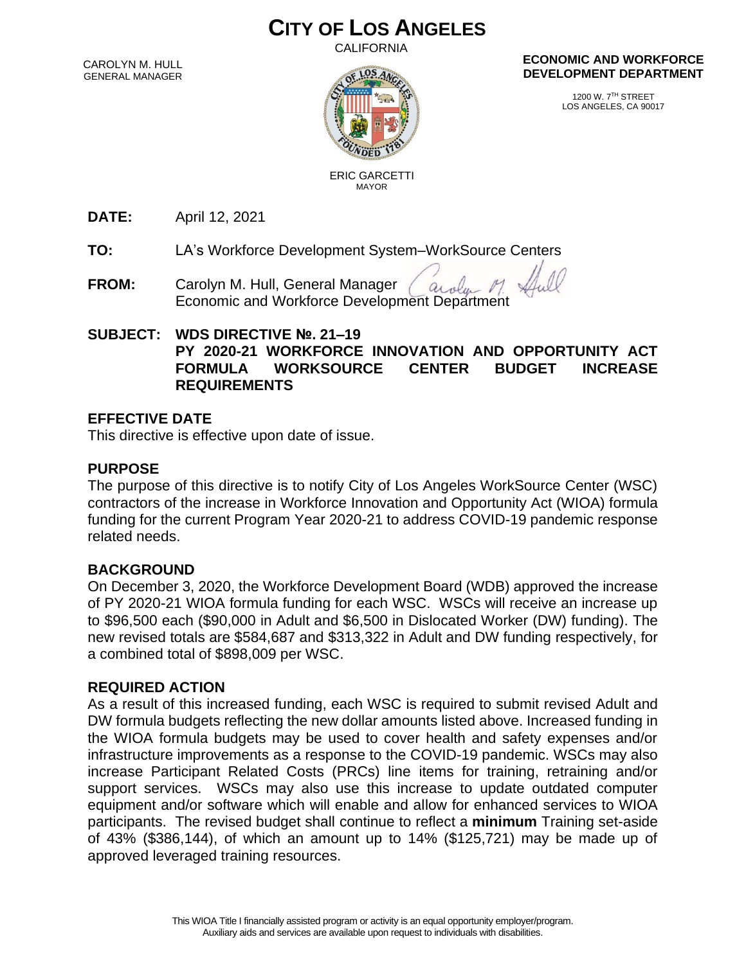# **CITY OF LOS ANGELES**

CALIFORNIA

CAROLYN M. HULL GENERAL MANAGER



 ERIC GARCETTI MAYOR

#### **ECONOMIC AND WORKFORCE DEVELOPMENT DEPARTMENT**

1200 W. 7TH STREET LOS ANGELES, CA 90017

**DATE:** April 12, 2021

**TO:** LA's Workforce Development System–WorkSource Centers

**FROM:** Carolyn M. Hull, General Manager Carolyn M. Hull, General Manager *Carolyn M.*<br>Economic and Workforce Development Department

### **SUBJECT: WDS DIRECTIVE №. 21–19 PY 2020-21 WORKFORCE INNOVATION AND OPPORTUNITY ACT FORMULA WORKSOURCE CENTER BUDGET INCREASE REQUIREMENTS**

### **EFFECTIVE DATE**

This directive is effective upon date of issue.

### **PURPOSE**

The purpose of this directive is to notify City of Los Angeles WorkSource Center (WSC) contractors of the increase in Workforce Innovation and Opportunity Act (WIOA) formula funding for the current Program Year 2020-21 to address COVID-19 pandemic response related needs.

### **BACKGROUND**

On December 3, 2020, the Workforce Development Board (WDB) approved the increase of PY 2020-21 WIOA formula funding for each WSC. WSCs will receive an increase up to \$96,500 each (\$90,000 in Adult and \$6,500 in Dislocated Worker (DW) funding). The new revised totals are \$584,687 and \$313,322 in Adult and DW funding respectively, for a combined total of \$898,009 per WSC.

### **REQUIRED ACTION**

As a result of this increased funding, each WSC is required to submit revised Adult and DW formula budgets reflecting the new dollar amounts listed above. Increased funding in the WIOA formula budgets may be used to cover health and safety expenses and/or infrastructure improvements as a response to the COVID-19 pandemic. WSCs may also increase Participant Related Costs (PRCs) line items for training, retraining and/or support services. WSCs may also use this increase to update outdated computer equipment and/or software which will enable and allow for enhanced services to WIOA participants. The revised budget shall continue to reflect a **minimum** Training set-aside of 43% (\$386,144), of which an amount up to 14% (\$125,721) may be made up of approved leveraged training resources.